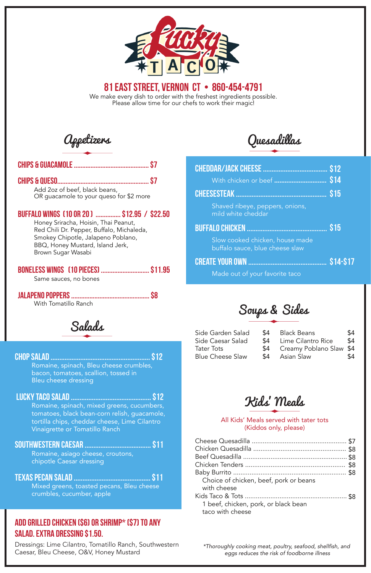## Chips & Guacamole ............................................. \$7

Appetizers

## Chips & Queso....................................................... \$7

Add 2oz of beef, black beans, OR guacamole to your queso for \$2 more

### Boneless Wings (10 pieces) ............................. \$11.95

Same sauces, no bones

### Jalapeno Poppers ............................................... \$8

With Tomatillo Ranch

### Buffalo Wings (10 or 20 ) ............... \$12.95 / \$22.50

Honey Sriracha, Hoisin, Thai Peanut, Red Chili Dr. Pepper, Buffalo, Michaleda, Smokey Chipotle, Jalapeno Poblano, BBQ, Honey Mustard, Island Jerk, Brown Sugar Wasabi

> *\*Thoroughly cooking meat, poultry, seafood, shellfish, and eggs reduces the risk of foodborne illness*

Salads

### Chop Salad ......................................................... \$12

Romaine, spinach, Bleu cheese crumbles, bacon, tomatoes, scallion, tossed in Bleu cheese dressing

### Southwestern Caesar ...................................... \$11

Romaine, asiago cheese, croutons, chipotle Caesar dressing

Texas Pecan Salad ............................................ \$11

Mixed greens, toasted pecans, Bleu cheese crumbles, cucumber, apple

## Add Grilled Chicken (\$6) or Shrimp\* (\$7) to any salad. Extra Dressing \$1.50.

### Lucky Taco Salad .............................................. \$12

 Romaine, spinach, mixed greens, cucumbers, tomatoes, black bean-corn relish, guacamole, tortilla chips, cheddar cheese, Lime Cilantro Vinaigrette or Tomatillo Ranch

Dressings: Lime Cilantro, Tomatillo Ranch, Southwestern Caesar, Bleu Cheese, O&V, Honey Mustard

All Kids' Meals served with tater tots

(Kiddos only, please)

| Choice of chicken, beef, pork or beans<br>with cheese    |  |
|----------------------------------------------------------|--|
|                                                          |  |
| 1 beef, chicken, pork, or black bean<br>taco with cheese |  |

Kids' Meals

We make every dish to order with the freshest ingredients possible. Please allow time for our chefs to work their magic!



# 81 east street, vernon ct • 860-454-4791

Soups & Sides

|                                                                    | \$15           |  |
|--------------------------------------------------------------------|----------------|--|
| Shaved ribeye, peppers, onions,<br>mild white cheddar              |                |  |
|                                                                    | \$15           |  |
| Slow cooked chicken, house made<br>buffalo sauce, blue cheese slaw |                |  |
| <b>CREATE YOUR OWN </b>                                            | <b>S14-S17</b> |  |
| Made out of your favorite taco                                     |                |  |

| Side Garden Salad       | \$4 | Black Beans                 | \$4 |
|-------------------------|-----|-----------------------------|-----|
| Side Caesar Salad       | \$4 | Lime Cilantro Rice          | \$4 |
| Tater Tots              |     | \$4 Creamy Poblano Slaw \$4 |     |
| <b>Blue Cheese Slaw</b> | \$4 | Asian Slaw                  | \$4 |

Quesadillas